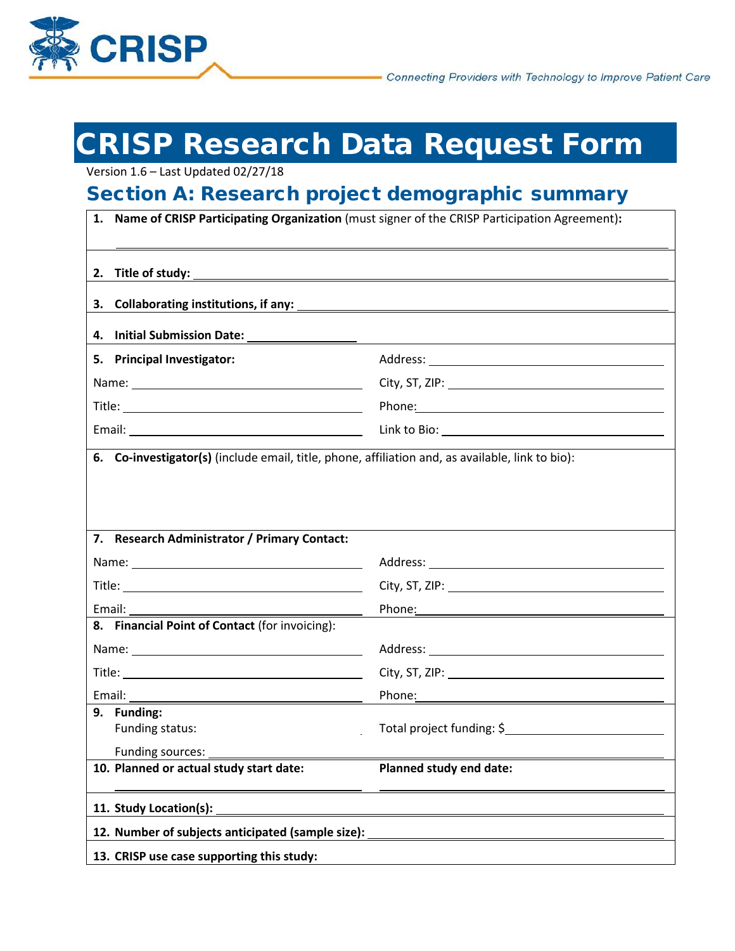

# CRISP Research Data Request Form

Version 1.6 – Last Updated 02/27/18

# Section A: Research project demographic summary

| 1.                                                                                               | Name of CRISP Participating Organization (must signer of the CRISP Participation Agreement):                           |  |  |  |  |  |
|--------------------------------------------------------------------------------------------------|------------------------------------------------------------------------------------------------------------------------|--|--|--|--|--|
| 2. Title of study:                                                                               | <u> 1989 - Johann Stoff, deutscher Stoffen und der Stoffen und der Stoffen und der Stoffen und der Stoffen und der</u> |  |  |  |  |  |
| Collaborating institutions, if any:<br>3.                                                        |                                                                                                                        |  |  |  |  |  |
| 4. Initial Submission Date:                                                                      |                                                                                                                        |  |  |  |  |  |
| 5. Principal Investigator:                                                                       |                                                                                                                        |  |  |  |  |  |
|                                                                                                  |                                                                                                                        |  |  |  |  |  |
|                                                                                                  | Phone: 2008 2010 2010 2010 2010 2010 2011 2021 2031 2040 2041 2051 2052 2053 2054 2055 2056 2057 2058 2059 205         |  |  |  |  |  |
|                                                                                                  |                                                                                                                        |  |  |  |  |  |
| 6. Co-investigator(s) (include email, title, phone, affiliation and, as available, link to bio): |                                                                                                                        |  |  |  |  |  |
|                                                                                                  |                                                                                                                        |  |  |  |  |  |
|                                                                                                  |                                                                                                                        |  |  |  |  |  |
|                                                                                                  |                                                                                                                        |  |  |  |  |  |
| 7. Research Administrator / Primary Contact:                                                     |                                                                                                                        |  |  |  |  |  |
|                                                                                                  |                                                                                                                        |  |  |  |  |  |
|                                                                                                  |                                                                                                                        |  |  |  |  |  |
| Email:                                                                                           | Phone: 2008 2010 2010 2010 2011 2021 2022 2023 2024 2022 2022 2023 2024 2022 2023 2024 2022 2023 2024 2025 20          |  |  |  |  |  |
| 8. Financial Point of Contact (for invoicing):                                                   |                                                                                                                        |  |  |  |  |  |
|                                                                                                  |                                                                                                                        |  |  |  |  |  |
|                                                                                                  |                                                                                                                        |  |  |  |  |  |
|                                                                                                  | Phone: 2008 2010 2010 2010 2011 2021 2022 2023 2024 2022 2023 2024 2022 2023 2024 2022 2023 2024 2025 2026 20          |  |  |  |  |  |
| 9. Funding:<br>Funding status:                                                                   | Total project funding: \$                                                                                              |  |  |  |  |  |
| Funding sources:                                                                                 |                                                                                                                        |  |  |  |  |  |
| 10. Planned or actual study start date:                                                          | Planned study end date:                                                                                                |  |  |  |  |  |
| 11. Study Location(s):                                                                           |                                                                                                                        |  |  |  |  |  |
| 12. Number of subjects anticipated (sample size):                                                |                                                                                                                        |  |  |  |  |  |
| 13. CRISP use case supporting this study:                                                        |                                                                                                                        |  |  |  |  |  |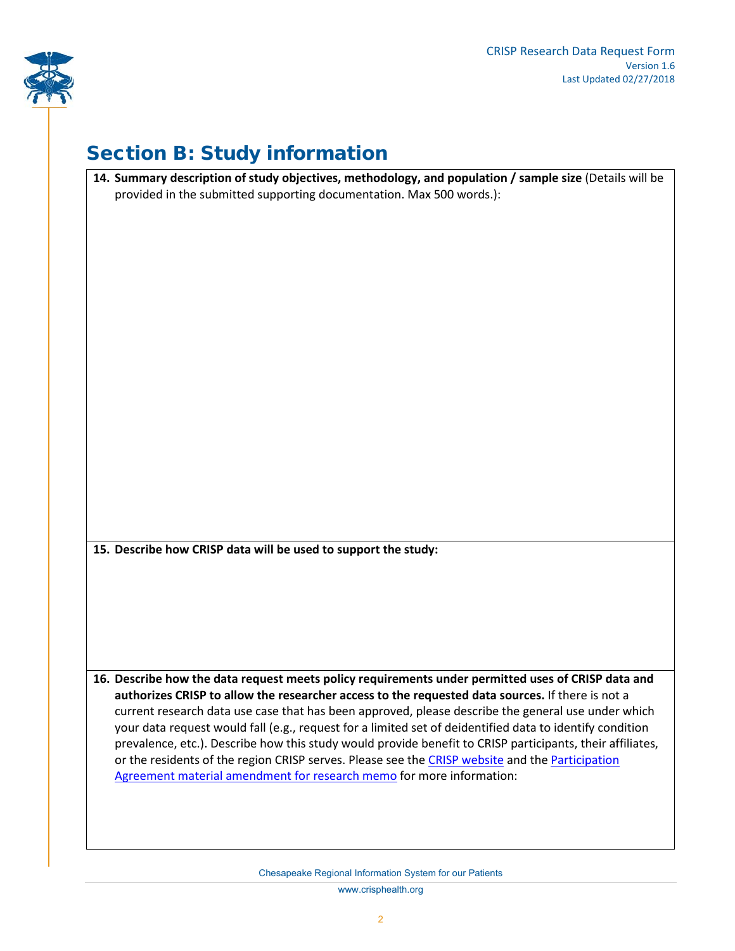

# Section B: Study information

| 14. Summary description of study objectives, methodology, and population / sample size (Details will be   |
|-----------------------------------------------------------------------------------------------------------|
| provided in the submitted supporting documentation. Max 500 words.):                                      |
|                                                                                                           |
|                                                                                                           |
|                                                                                                           |
|                                                                                                           |
|                                                                                                           |
|                                                                                                           |
|                                                                                                           |
|                                                                                                           |
|                                                                                                           |
|                                                                                                           |
|                                                                                                           |
|                                                                                                           |
|                                                                                                           |
|                                                                                                           |
|                                                                                                           |
|                                                                                                           |
|                                                                                                           |
|                                                                                                           |
|                                                                                                           |
|                                                                                                           |
|                                                                                                           |
|                                                                                                           |
| 15. Describe how CRISP data will be used to support the study:                                            |
|                                                                                                           |
|                                                                                                           |
|                                                                                                           |
|                                                                                                           |
|                                                                                                           |
|                                                                                                           |
|                                                                                                           |
| 16. Describe how the data request meets policy requirements under permitted uses of CRISP data and        |
| authorizes CRISP to allow the researcher access to the requested data sources. If there is not a          |
| current research data use case that has been approved, please describe the general use under which        |
| your data request would fall (e.g., request for a limited set of deidentified data to identify condition  |
| prevalence, etc.). Describe how this study would provide benefit to CRISP participants, their affiliates, |
| or the residents of the region CRISP serves. Please see the CRISP website and the Participation           |
| Agreement material amendment for research memo for more information:                                      |
|                                                                                                           |
|                                                                                                           |
|                                                                                                           |
|                                                                                                           |
|                                                                                                           |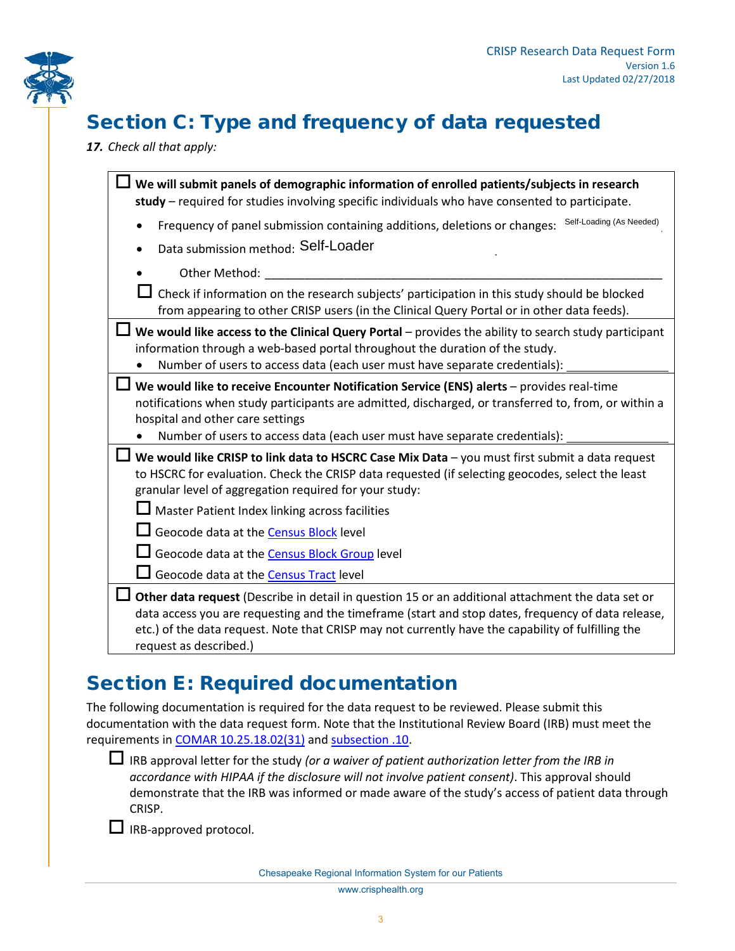

# Section C: Type and frequency of data requested

*17. Check all that apply:*

| We will submit panels of demographic information of enrolled patients/subjects in research<br>study - required for studies involving specific individuals who have consented to participate.                                                                                                                                                                                                                                                                     |
|------------------------------------------------------------------------------------------------------------------------------------------------------------------------------------------------------------------------------------------------------------------------------------------------------------------------------------------------------------------------------------------------------------------------------------------------------------------|
| Self-Loading (As Needed)<br>Frequency of panel submission containing additions, deletions or changes:                                                                                                                                                                                                                                                                                                                                                            |
| Data submission method: Self-Loader                                                                                                                                                                                                                                                                                                                                                                                                                              |
| Other Method:                                                                                                                                                                                                                                                                                                                                                                                                                                                    |
| Check if information on the research subjects' participation in this study should be blocked<br>from appearing to other CRISP users (in the Clinical Query Portal or in other data feeds).                                                                                                                                                                                                                                                                       |
| We would like access to the Clinical Query Portal - provides the ability to search study participant<br>information through a web-based portal throughout the duration of the study.<br>Number of users to access data (each user must have separate credentials):                                                                                                                                                                                               |
| We would like to receive Encounter Notification Service (ENS) alerts - provides real-time<br>notifications when study participants are admitted, discharged, or transferred to, from, or within a<br>hospital and other care settings<br>Number of users to access data (each user must have separate credentials):                                                                                                                                              |
| We would like CRISP to link data to HSCRC Case Mix Data - you must first submit a data request<br>to HSCRC for evaluation. Check the CRISP data requested (if selecting geocodes, select the least<br>granular level of aggregation required for your study:<br>Master Patient Index linking across facilities<br>Geocode data at the <b>Census Block</b> level<br>Geocode data at the Census Block Group level<br>Geocode data at the <b>Census Tract</b> level |
| Other data request (Describe in detail in question 15 or an additional attachment the data set or<br>data access you are requesting and the timeframe (start and stop dates, frequency of data release,<br>etc.) of the data request. Note that CRISP may not currently have the capability of fulfilling the<br>request as described.)                                                                                                                          |

## Section E: Required documentation

The following documentation is required for the data request to be reviewed. Please submit this documentation with the data request form. Note that the Institutional Review Board (IRB) must meet the requirements in [COMAR 10.25.18.02\(31\)](http://www.dsd.state.md.us/comar/comarhtml/10/10.25.18.02.htm) and [subsection .10.](http://www.dsd.state.md.us/comar/comarhtml/10/10.25.18.10.htm)

 IRB approval letter for the study *(or a waiver of patient authorization letter from the IRB in accordance with HIPAA if the disclosure will not involve patient consent)*. This approval should demonstrate that the IRB was informed or made aware of the study's access of patient data through CRISP.

 $\Box$  IRB-approved protocol.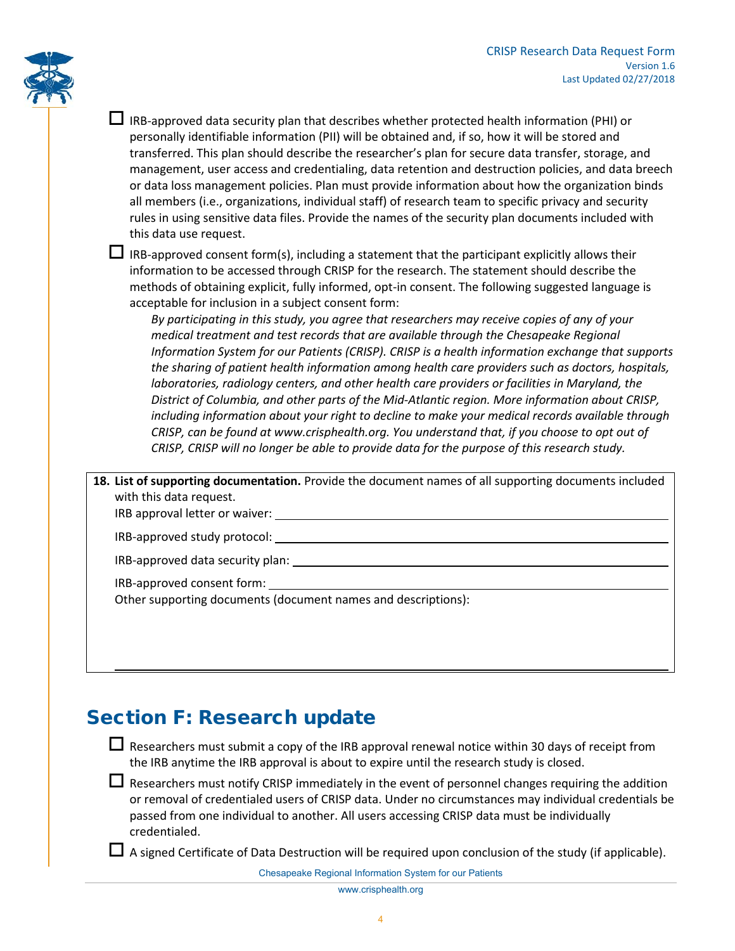

 $\Box$  IRB-approved data security plan that describes whether protected health information (PHI) or personally identifiable information (PII) will be obtained and, if so, how it will be stored and transferred. This plan should describe the researcher's plan for secure data transfer, storage, and management, user access and credentialing, data retention and destruction policies, and data breech or data loss management policies. Plan must provide information about how the organization binds all members (i.e., organizations, individual staff) of research team to specific privacy and security rules in using sensitive data files. Provide the names of the security plan documents included with this data use request.

 $\Box$  IRB-approved consent form(s), including a statement that the participant explicitly allows their information to be accessed through CRISP for the research. The statement should describe the methods of obtaining explicit, fully informed, opt-in consent. The following suggested language is acceptable for inclusion in a subject consent form:

*By participating in this study, you agree that researchers may receive copies of any of your medical treatment and test records that are available through the Chesapeake Regional Information System for our Patients (CRISP). CRISP is a health information exchange that supports the sharing of patient health information among health care providers such as doctors, hospitals, laboratories, radiology centers, and other health care providers or facilities in Maryland, the District of Columbia, and other parts of the Mid-Atlantic region. More information about CRISP, including information about your right to decline to make your medical records available through CRISP, can be found at www.crisphealth.org. You understand that, if you choose to opt out of CRISP, CRISP will no longer be able to provide data for the purpose of this research study.*

**18. List of supporting documentation.** Provide the document names of all supporting documents included with this data request.

IRB approval letter or waiver:

| IRB-approved study protocol: |  |  |
|------------------------------|--|--|
|------------------------------|--|--|

IRB-approved data security plan:

IRB-approved consent form:

Other supporting documents (document names and descriptions):

### Section F: Research update

 $\Box$  Researchers must submit a copy of the IRB approval renewal notice within 30 days of receipt from the IRB anytime the IRB approval is about to expire until the research study is closed.

E Researchers must notify CRISP immediately in the event of personnel changes requiring the addition or removal of credentialed users of CRISP data. Under no circumstances may individual credentials be passed from one individual to another. All users accessing CRISP data must be individually credentialed.

A signed Certificate of Data Destruction will be required upon conclusion of the study (if applicable).

Chesapeake Regional Information System for our Patients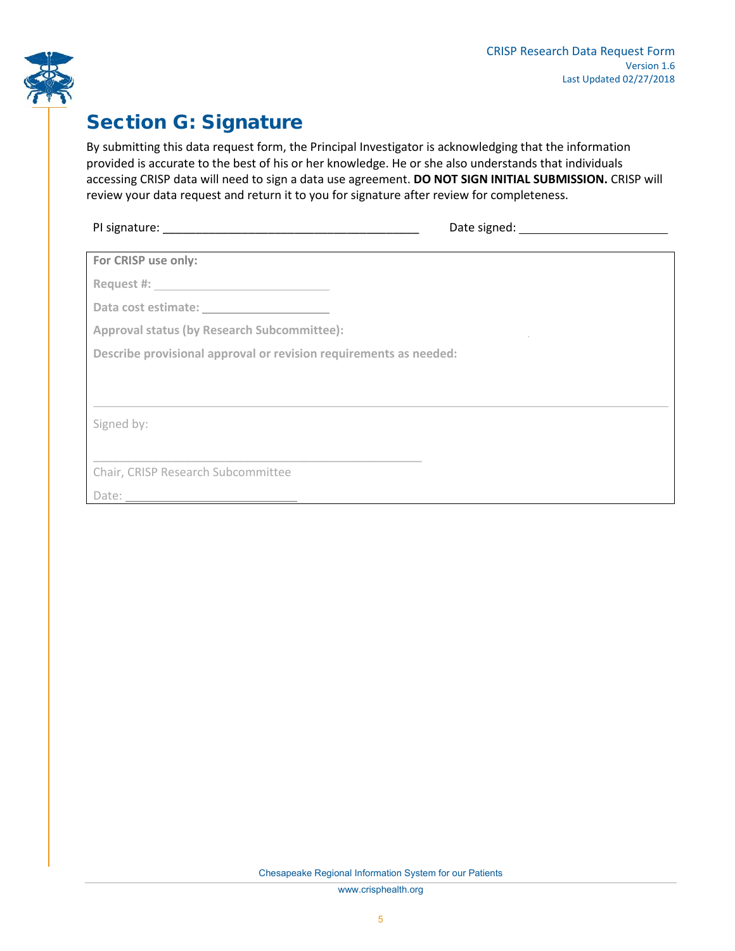

### Section G: Signature

By submitting this data request form, the Principal Investigator is acknowledging that the information provided is accurate to the best of his or her knowledge. He or she also understands that individuals accessing CRISP data will need to sign a data use agreement. **DO NOT SIGN INITIAL SUBMISSION.** CRISP will review your data request and return it to you for signature after review for completeness.

| PI signature: | Date signed: |
|---------------|--------------|
|               |              |

|  | For CRISP use only: |  |  |
|--|---------------------|--|--|
|--|---------------------|--|--|

**Request #:**

**Data cost estimate:**

**Approval status (by Research Subcommittee):**

**Describe provisional approval or revision requirements as needed:**

\_\_\_\_\_\_\_\_\_\_\_\_\_\_\_\_\_\_\_\_\_\_\_\_\_\_\_\_\_\_\_\_\_\_\_\_\_\_\_\_\_\_\_\_\_\_\_\_\_\_

Signed by:

Chair, CRISP Research Subcommittee

Date:

Chesapeake Regional Information System for our Patients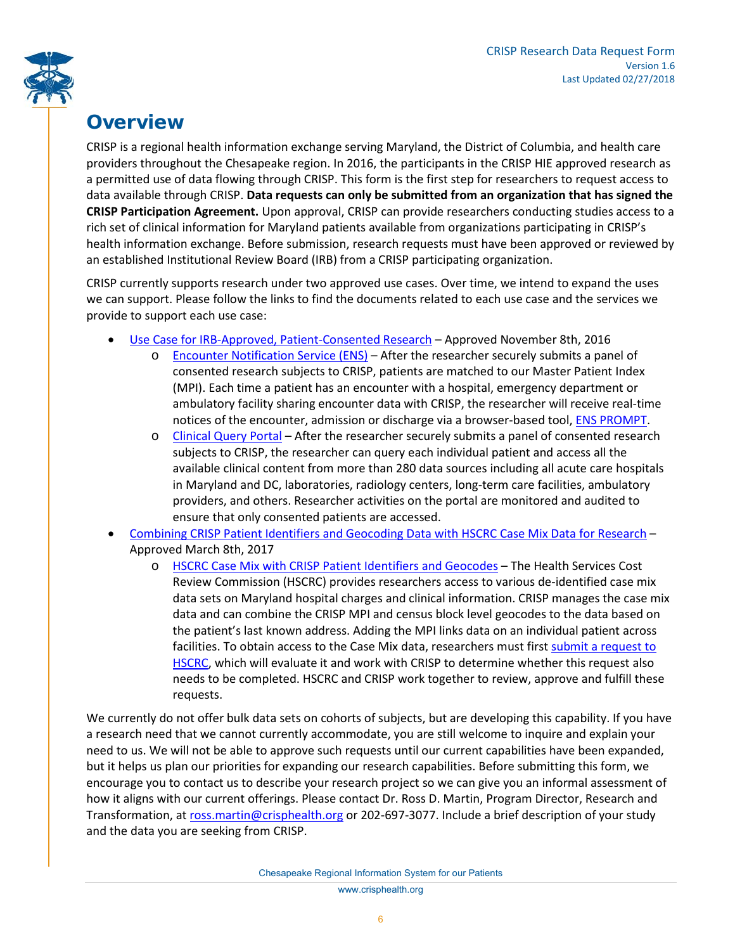

## **Overview**

CRISP is a regional health information exchange serving Maryland, the District of Columbia, and health care providers throughout the Chesapeake region. In 2016, the participants in the CRISP HIE approved research as a permitted use of data flowing through CRISP. This form is the first step for researchers to request access to data available through CRISP. **Data requests can only be submitted from an organization that has signed the CRISP Participation Agreement.** Upon approval, CRISP can provide researchers conducting studies access to a rich set of clinical information for Maryland patients available from organizations participating in CRISP's health information exchange. Before submission, research requests must have been approved or reviewed by an established Institutional Review Board (IRB) from a CRISP participating organization.

CRISP currently supports research under two approved use cases. Over time, we intend to expand the uses we can support. Please follow the links to find the documents related to each use case and the services we provide to support each use case:

- [Use Case for IRB-Approved, Patient-Consented Research](https://crisphealth.org/policies/) Approved November 8th, 2016
	- o [Encounter Notification Service \(ENS\)](https://crisphealth.org/services/encounter-notification-services-ens/) After the researcher securely submits a panel of consented research subjects to CRISP, patients are matched to our Master Patient Index (MPI). Each time a patient has an encounter with a hospital, emergency department or ambulatory facility sharing encounter data with CRISP, the researcher will receive real-time notices of the encounter, admission or discharge via a browser-based tool[, ENS PROMPT.](https://youtu.be/0uVuzBYmdjw)
	- o [Clinical Query Portal](https://crisphealth.org/services/crisp-clinical-query-portal/) After the researcher securely submits a panel of consented research subjects to CRISP, the researcher can query each individual patient and access all the available clinical content from more than 280 data sources including all acute care hospitals in Maryland and DC, laboratories, radiology centers, long-term care facilities, ambulatory providers, and others. Researcher activities on the portal are monitored and audited to ensure that only consented patients are accessed.
- [Combining CRISP Patient Identifiers and Geocoding Data with HSCRC Case Mix Data](https://crisphealth.org/policies/) for Research Approved March 8th, 2017
	- o [HSCRC Case Mix with CRISP Patient Identifiers and Geocodes](http://www.hscrc.maryland.gov/Pages/hsp-data-request.aspx) The Health Services Cost Review Commission (HSCRC) provides researchers access to various de-identified case mix data sets on Maryland hospital charges and clinical information. CRISP manages the case mix data and can combine the CRISP MPI and census block level geocodes to the data based on the patient's last known address. Adding the MPI links data on an individual patient across facilities. To obtain access to the Case Mix data, researchers must first submit a request to [HSCRC,](http://www.hscrc.maryland.gov/Pages/hsp-data-request.aspx) which will evaluate it and work with CRISP to determine whether this request also needs to be completed. HSCRC and CRISP work together to review, approve and fulfill these requests.

We currently do not offer bulk data sets on cohorts of subjects, but are developing this capability. If you have a research need that we cannot currently accommodate, you are still welcome to inquire and explain your need to us. We will not be able to approve such requests until our current capabilities have been expanded, but it helps us plan our priorities for expanding our research capabilities. Before submitting this form, we encourage you to contact us to describe your research project so we can give you an informal assessment of how it aligns with our current offerings. Please contact Dr. Ross D. Martin, Program Director, Research and Transformation, at [ross.martin@crisphealth.org](mailto:ross.martin@crisphealth.org) or 202-697-3077. Include a brief description of your study and the data you are seeking from CRISP.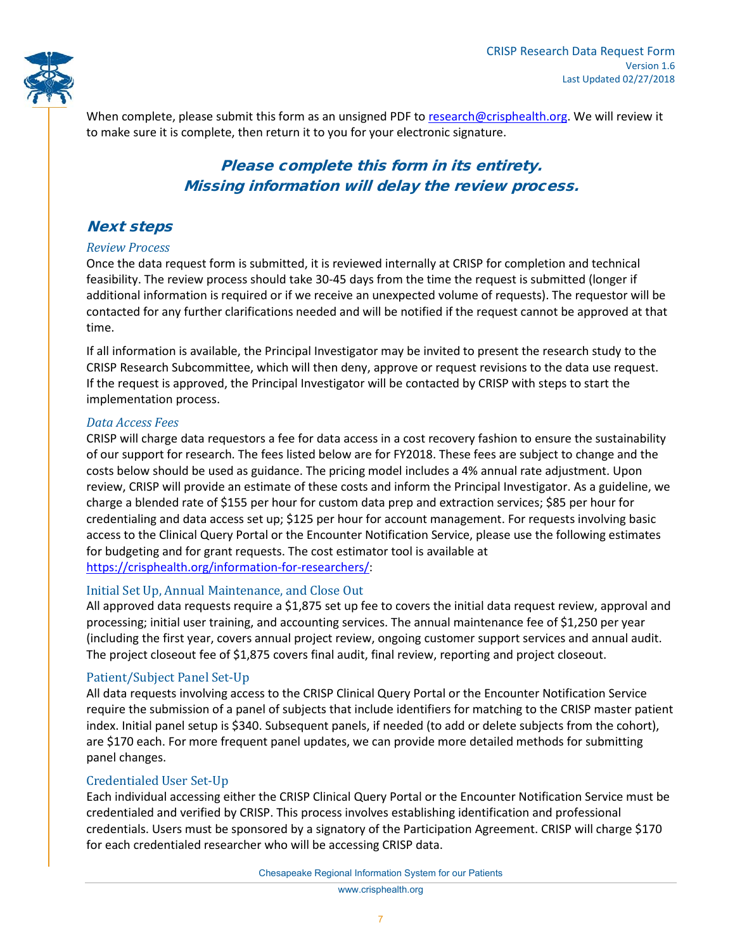

When complete, please submit this form as an unsigned PDF to [research@crisphealth.org.](mailto:research@crisphealth.org) We will review it to make sure it is complete, then return it to you for your electronic signature.

#### Please complete this form in its entirety. Missing information will delay the review process.

#### Next steps

#### *Review Process*

Once the data request form is submitted, it is reviewed internally at CRISP for completion and technical feasibility. The review process should take 30-45 days from the time the request is submitted (longer if additional information is required or if we receive an unexpected volume of requests). The requestor will be contacted for any further clarifications needed and will be notified if the request cannot be approved at that time.

If all information is available, the Principal Investigator may be invited to present the research study to the CRISP Research Subcommittee, which will then deny, approve or request revisions to the data use request. If the request is approved, the Principal Investigator will be contacted by CRISP with steps to start the implementation process.

#### *Data Access Fees*

CRISP will charge data requestors a fee for data access in a cost recovery fashion to ensure the sustainability of our support for research. The fees listed below are for FY2018. These fees are subject to change and the costs below should be used as guidance. The pricing model includes a 4% annual rate adjustment. Upon review, CRISP will provide an estimate of these costs and inform the Principal Investigator. As a guideline, we charge a blended rate of \$155 per hour for custom data prep and extraction services; \$85 per hour for credentialing and data access set up; \$125 per hour for account management. For requests involving basic access to the Clinical Query Portal or the Encounter Notification Service, please use the following estimates for budgeting and for grant requests. The cost estimator tool is available at [https://crisphealth.org/information-for-researchers/:](https://crisphealth.org/information-for-researchers/)

#### Initial Set Up, Annual Maintenance, and Close Out

All approved data requests require a \$1,875 set up fee to covers the initial data request review, approval and processing; initial user training, and accounting services. The annual maintenance fee of \$1,250 per year (including the first year, covers annual project review, ongoing customer support services and annual audit. The project closeout fee of \$1,875 covers final audit, final review, reporting and project closeout.

#### Patient/Subject Panel Set-Up

All data requests involving access to the CRISP Clinical Query Portal or the Encounter Notification Service require the submission of a panel of subjects that include identifiers for matching to the CRISP master patient index. Initial panel setup is \$340. Subsequent panels, if needed (to add or delete subjects from the cohort), are \$170 each. For more frequent panel updates, we can provide more detailed methods for submitting panel changes.

#### Credentialed User Set-Up

Each individual accessing either the CRISP Clinical Query Portal or the Encounter Notification Service must be credentialed and verified by CRISP. This process involves establishing identification and professional credentials. Users must be sponsored by a signatory of the Participation Agreement. CRISP will charge \$170 for each credentialed researcher who will be accessing CRISP data.